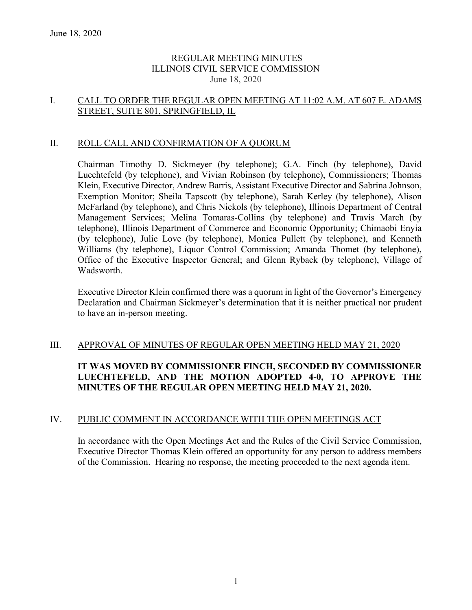## REGULAR MEETING MINUTES ILLINOIS CIVIL SERVICE COMMISSION June 18, 2020

## I. CALL TO ORDER THE REGULAR OPEN MEETING AT 11:02 A.M. AT 607 E. ADAMS STREET, SUITE 801, SPRINGFIELD, IL

## II. ROLL CALL AND CONFIRMATION OF A QUORUM

Chairman Timothy D. Sickmeyer (by telephone); G.A. Finch (by telephone), David Luechtefeld (by telephone), and Vivian Robinson (by telephone), Commissioners; Thomas Klein, Executive Director, Andrew Barris, Assistant Executive Director and Sabrina Johnson, Exemption Monitor; Sheila Tapscott (by telephone), Sarah Kerley (by telephone), Alison McFarland (by telephone), and Chris Nickols (by telephone), Illinois Department of Central Management Services; Melina Tomaras-Collins (by telephone) and Travis March (by telephone), Illinois Department of Commerce and Economic Opportunity; Chimaobi Enyia (by telephone), Julie Love (by telephone), Monica Pullett (by telephone), and Kenneth Williams (by telephone), Liquor Control Commission; Amanda Thomet (by telephone), Office of the Executive Inspector General; and Glenn Ryback (by telephone), Village of Wadsworth.

Executive Director Klein confirmed there was a quorum in light of the Governor's Emergency Declaration and Chairman Sickmeyer's determination that it is neither practical nor prudent to have an in-person meeting.

## III. APPROVAL OF MINUTES OF REGULAR OPEN MEETING HELD MAY 21, 2020

# **IT WAS MOVED BY COMMISSIONER FINCH, SECONDED BY COMMISSIONER LUECHTEFELD, AND THE MOTION ADOPTED 4-0, TO APPROVE THE MINUTES OF THE REGULAR OPEN MEETING HELD MAY 21, 2020.**

## IV. PUBLIC COMMENT IN ACCORDANCE WITH THE OPEN MEETINGS ACT

In accordance with the Open Meetings Act and the Rules of the Civil Service Commission, Executive Director Thomas Klein offered an opportunity for any person to address members of the Commission. Hearing no response, the meeting proceeded to the next agenda item.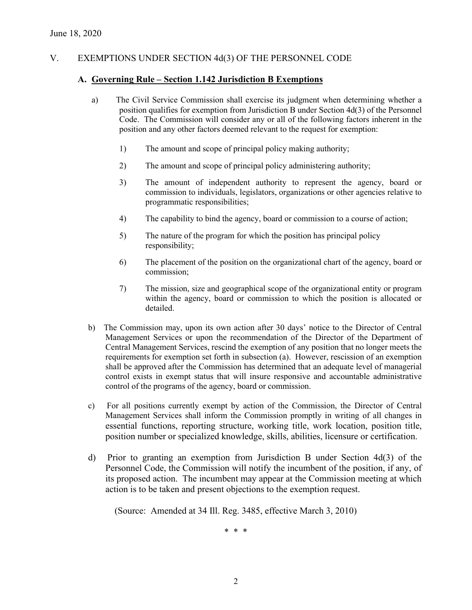## V. EXEMPTIONS UNDER SECTION 4d(3) OF THE PERSONNEL CODE

#### **A. Governing Rule – Section 1.142 Jurisdiction B Exemptions**

- a) The Civil Service Commission shall exercise its judgment when determining whether a position qualifies for exemption from Jurisdiction B under Section 4d(3) of the Personnel Code. The Commission will consider any or all of the following factors inherent in the position and any other factors deemed relevant to the request for exemption:
	- 1) The amount and scope of principal policy making authority;
	- 2) The amount and scope of principal policy administering authority;
	- 3) The amount of independent authority to represent the agency, board or commission to individuals, legislators, organizations or other agencies relative to programmatic responsibilities;
	- 4) The capability to bind the agency, board or commission to a course of action;
	- 5) The nature of the program for which the position has principal policy responsibility;
	- 6) The placement of the position on the organizational chart of the agency, board or commission;
	- 7) The mission, size and geographical scope of the organizational entity or program within the agency, board or commission to which the position is allocated or detailed.
- b) The Commission may, upon its own action after 30 days' notice to the Director of Central Management Services or upon the recommendation of the Director of the Department of Central Management Services, rescind the exemption of any position that no longer meets the requirements for exemption set forth in subsection (a). However, rescission of an exemption shall be approved after the Commission has determined that an adequate level of managerial control exists in exempt status that will insure responsive and accountable administrative control of the programs of the agency, board or commission.
- c) For all positions currently exempt by action of the Commission, the Director of Central Management Services shall inform the Commission promptly in writing of all changes in essential functions, reporting structure, working title, work location, position title, position number or specialized knowledge, skills, abilities, licensure or certification.
- d) Prior to granting an exemption from Jurisdiction B under Section 4d(3) of the Personnel Code, the Commission will notify the incumbent of the position, if any, of its proposed action. The incumbent may appear at the Commission meeting at which action is to be taken and present objections to the exemption request.

(Source: Amended at 34 Ill. Reg. 3485, effective March 3, 2010)

\* \* \*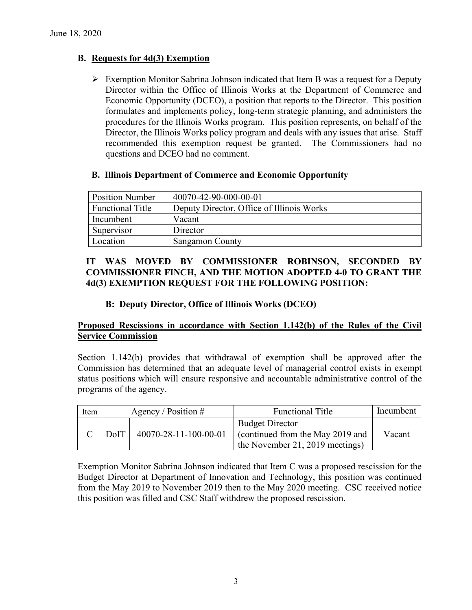# **B. Requests for 4d(3) Exemption**

 $\triangleright$  Exemption Monitor Sabrina Johnson indicated that Item B was a request for a Deputy Director within the Office of Illinois Works at the Department of Commerce and Economic Opportunity (DCEO), a position that reports to the Director. This position formulates and implements policy, long-term strategic planning, and administers the procedures for the Illinois Works program. This position represents, on behalf of the Director, the Illinois Works policy program and deals with any issues that arise. Staff recommended this exemption request be granted. The Commissioners had no questions and DCEO had no comment.

# **B. Illinois Department of Commerce and Economic Opportunity**

| <b>Position Number</b> | 40070-42-90-000-00-01                     |
|------------------------|-------------------------------------------|
| Functional Title       | Deputy Director, Office of Illinois Works |
| Incumbent              | Vacant                                    |
| Supervisor             | Director                                  |
| Location               | <b>Sangamon County</b>                    |

# **IT WAS MOVED BY COMMISSIONER ROBINSON, SECONDED BY COMMISSIONER FINCH, AND THE MOTION ADOPTED 4-0 TO GRANT THE 4d(3) EXEMPTION REQUEST FOR THE FOLLOWING POSITION:**

# **B: Deputy Director, Office of Illinois Works (DCEO)**

# **Proposed Rescissions in accordance with Section 1.142(b) of the Rules of the Civil Service Commission**

Section 1.142(b) provides that withdrawal of exemption shall be approved after the Commission has determined that an adequate level of managerial control exists in exempt status positions which will ensure responsive and accountable administrative control of the programs of the agency.

| Item |         | Agency / Position $#$ | <b>Functional Title</b>                                                                      | Incumbent |
|------|---------|-----------------------|----------------------------------------------------------------------------------------------|-----------|
|      | $D$ oIT | 40070-28-11-100-00-01 | <b>Budget Director</b><br>Continued from the May 2019 and<br>the November 21, 2019 meetings) | Vacant    |

Exemption Monitor Sabrina Johnson indicated that Item C was a proposed rescission for the Budget Director at Department of Innovation and Technology, this position was continued from the May 2019 to November 2019 then to the May 2020 meeting. CSC received notice this position was filled and CSC Staff withdrew the proposed rescission.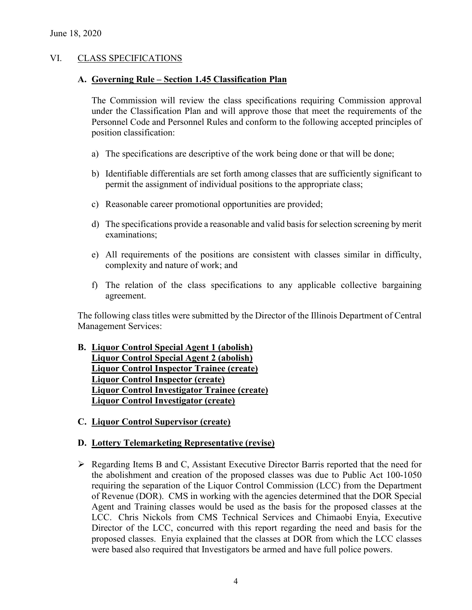## VI. CLASS SPECIFICATIONS

### **A. Governing Rule – Section 1.45 Classification Plan**

The Commission will review the class specifications requiring Commission approval under the Classification Plan and will approve those that meet the requirements of the Personnel Code and Personnel Rules and conform to the following accepted principles of position classification:

- a) The specifications are descriptive of the work being done or that will be done;
- b) Identifiable differentials are set forth among classes that are sufficiently significant to permit the assignment of individual positions to the appropriate class;
- c) Reasonable career promotional opportunities are provided;
- d) The specifications provide a reasonable and valid basis for selection screening by merit examinations;
- e) All requirements of the positions are consistent with classes similar in difficulty, complexity and nature of work; and
- f) The relation of the class specifications to any applicable collective bargaining agreement.

The following class titles were submitted by the Director of the Illinois Department of Central Management Services:

## **B. Liquor Control Special Agent 1 (abolish) Liquor Control Special Agent 2 (abolish) Liquor Control Inspector Trainee (create) Liquor Control Inspector (create) Liquor Control Investigator Trainee (create) Liquor Control Investigator (create)**

**C. Liquor Control Supervisor (create)**

## **D. Lottery Telemarketing Representative (revise)**

 $\triangleright$  Regarding Items B and C, Assistant Executive Director Barris reported that the need for the abolishment and creation of the proposed classes was due to Public Act 100-1050 requiring the separation of the Liquor Control Commission (LCC) from the Department of Revenue (DOR). CMS in working with the agencies determined that the DOR Special Agent and Training classes would be used as the basis for the proposed classes at the LCC. Chris Nickols from CMS Technical Services and Chimaobi Enyia, Executive Director of the LCC, concurred with this report regarding the need and basis for the proposed classes. Enyia explained that the classes at DOR from which the LCC classes were based also required that Investigators be armed and have full police powers.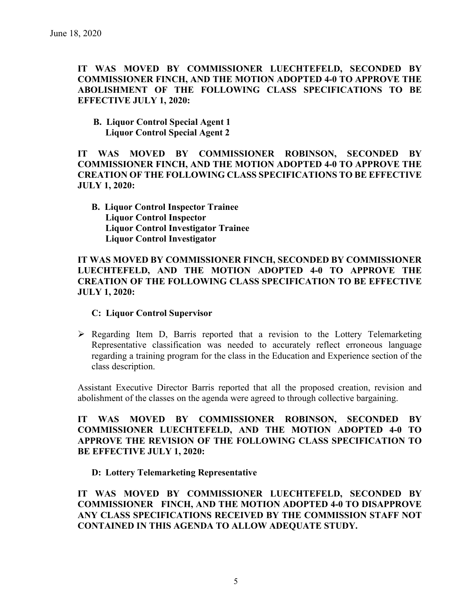**IT WAS MOVED BY COMMISSIONER LUECHTEFELD, SECONDED BY COMMISSIONER FINCH, AND THE MOTION ADOPTED 4-0 TO APPROVE THE ABOLISHMENT OF THE FOLLOWING CLASS SPECIFICATIONS TO BE EFFECTIVE JULY 1, 2020:**

**B. Liquor Control Special Agent 1 Liquor Control Special Agent 2** 

**IT WAS MOVED BY COMMISSIONER ROBINSON, SECONDED BY COMMISSIONER FINCH, AND THE MOTION ADOPTED 4-0 TO APPROVE THE CREATION OF THE FOLLOWING CLASS SPECIFICATIONS TO BE EFFECTIVE JULY 1, 2020:**

**B. Liquor Control Inspector Trainee Liquor Control Inspector Liquor Control Investigator Trainee Liquor Control Investigator** 

**IT WAS MOVED BY COMMISSIONER FINCH, SECONDED BY COMMISSIONER LUECHTEFELD, AND THE MOTION ADOPTED 4-0 TO APPROVE THE CREATION OF THE FOLLOWING CLASS SPECIFICATION TO BE EFFECTIVE JULY 1, 2020:**

## **C: Liquor Control Supervisor**

 $\triangleright$  Regarding Item D, Barris reported that a revision to the Lottery Telemarketing Representative classification was needed to accurately reflect erroneous language regarding a training program for the class in the Education and Experience section of the class description.

Assistant Executive Director Barris reported that all the proposed creation, revision and abolishment of the classes on the agenda were agreed to through collective bargaining.

**IT WAS MOVED BY COMMISSIONER ROBINSON, SECONDED BY COMMISSIONER LUECHTEFELD, AND THE MOTION ADOPTED 4-0 TO APPROVE THE REVISION OF THE FOLLOWING CLASS SPECIFICATION TO BE EFFECTIVE JULY 1, 2020:**

**D: Lottery Telemarketing Representative**

**IT WAS MOVED BY COMMISSIONER LUECHTEFELD, SECONDED BY COMMISSIONER FINCH, AND THE MOTION ADOPTED 4-0 TO DISAPPROVE ANY CLASS SPECIFICATIONS RECEIVED BY THE COMMISSION STAFF NOT CONTAINED IN THIS AGENDA TO ALLOW ADEQUATE STUDY.**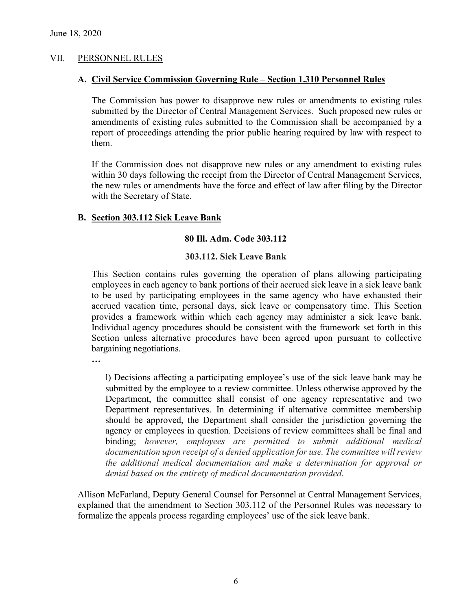## VII. PERSONNEL RULES

#### **A. Civil Service Commission Governing Rule – Section 1.310 Personnel Rules**

The Commission has power to disapprove new rules or amendments to existing rules submitted by the Director of Central Management Services. Such proposed new rules or amendments of existing rules submitted to the Commission shall be accompanied by a report of proceedings attending the prior public hearing required by law with respect to them.

If the Commission does not disapprove new rules or any amendment to existing rules within 30 days following the receipt from the Director of Central Management Services, the new rules or amendments have the force and effect of law after filing by the Director with the Secretary of State.

#### **B. Section 303.112 Sick Leave Bank**

#### **80 Ill. Adm. Code 303.112**

#### **303.112. Sick Leave Bank**

This Section contains rules governing the operation of plans allowing participating employees in each agency to bank portions of their accrued sick leave in a sick leave bank to be used by participating employees in the same agency who have exhausted their accrued vacation time, personal days, sick leave or compensatory time. This Section provides a framework within which each agency may administer a sick leave bank. Individual agency procedures should be consistent with the framework set forth in this Section unless alternative procedures have been agreed upon pursuant to collective bargaining negotiations.

**…**

l) Decisions affecting a participating employee's use of the sick leave bank may be submitted by the employee to a review committee. Unless otherwise approved by the Department, the committee shall consist of one agency representative and two Department representatives. In determining if alternative committee membership should be approved, the Department shall consider the jurisdiction governing the agency or employees in question. Decisions of review committees shall be final and binding; *however, employees are permitted to submit additional medical documentation upon receipt of a denied application for use. The committee will review the additional medical documentation and make a determination for approval or denial based on the entirety of medical documentation provided.*

Allison McFarland, Deputy General Counsel for Personnel at Central Management Services, explained that the amendment to Section 303.112 of the Personnel Rules was necessary to formalize the appeals process regarding employees' use of the sick leave bank.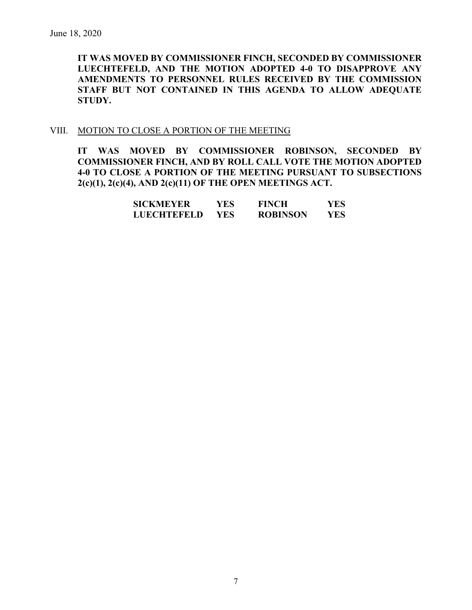**IT WAS MOVED BY COMMISSIONER FINCH, SECONDED BY COMMISSIONER LUECHTEFELD, AND THE MOTION ADOPTED 4-0 TO DISAPPROVE ANY AMENDMENTS TO PERSONNEL RULES RECEIVED BY THE COMMISSION STAFF BUT NOT CONTAINED IN THIS AGENDA TO ALLOW ADEQUATE STUDY.** 

#### VIII. MOTION TO CLOSE A PORTION OF THE MEETING

**IT WAS MOVED BY COMMISSIONER ROBINSON, SECONDED BY COMMISSIONER FINCH, AND BY ROLL CALL VOTE THE MOTION ADOPTED 4-0 TO CLOSE A PORTION OF THE MEETING PURSUANT TO SUBSECTIONS 2(c)(1), 2(c)(4), AND 2(c)(11) OF THE OPEN MEETINGS ACT.**

| <b>SICKMEYER</b> | YES | <b>FINCH</b>    | YES |
|------------------|-----|-----------------|-----|
| LUECHTEFELD      | YES | <b>ROBINSON</b> | YES |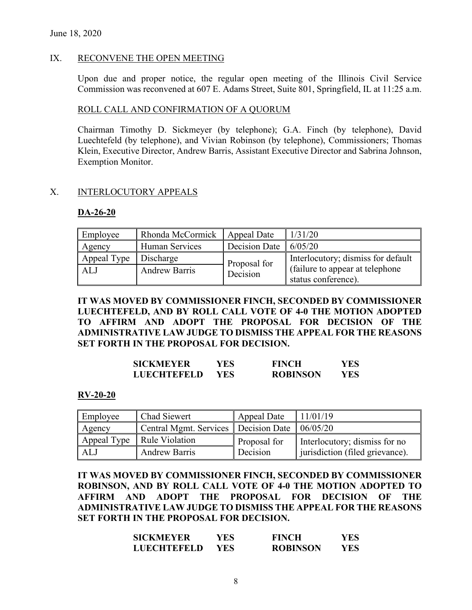## IX. RECONVENE THE OPEN MEETING

Upon due and proper notice, the regular open meeting of the Illinois Civil Service Commission was reconvened at 607 E. Adams Street, Suite 801, Springfield, IL at 11:25 a.m.

## ROLL CALL AND CONFIRMATION OF A QUORUM

Chairman Timothy D. Sickmeyer (by telephone); G.A. Finch (by telephone), David Luechtefeld (by telephone), and Vivian Robinson (by telephone), Commissioners; Thomas Klein, Executive Director, Andrew Barris, Assistant Executive Director and Sabrina Johnson, Exemption Monitor.

## X. INTERLOCUTORY APPEALS

#### **DA-26-20**

| Employee    | Rhonda McCormick   Appeal Date |                              | 1/31/20                            |
|-------------|--------------------------------|------------------------------|------------------------------------|
| Agency      | Human Services                 | Decision Date $\int 6/05/20$ |                                    |
| Appeal Type | Discharge                      | Proposal for                 | Interlocutory; dismiss for default |
| AL J        | <b>Andrew Barris</b>           | Decision                     | (failure to appear at telephone)   |
|             |                                |                              | status conference).                |

**IT WAS MOVED BY COMMISSIONER FINCH, SECONDED BY COMMISSIONER LUECHTEFELD, AND BY ROLL CALL VOTE OF 4-0 THE MOTION ADOPTED TO AFFIRM AND ADOPT THE PROPOSAL FOR DECISION OF THE ADMINISTRATIVE LAW JUDGE TO DISMISS THE APPEAL FOR THE REASONS SET FORTH IN THE PROPOSAL FOR DECISION.**

| <b>SICKMEYER</b>   | YES  | <b>FINCH</b>    | YES |
|--------------------|------|-----------------|-----|
| <b>LUECHTEFELD</b> | YES. | <b>ROBINSON</b> | YES |

#### **RV-20-20**

| Employee | Chad Siewert                                      | Appeal Date  | 11/01/19                        |
|----------|---------------------------------------------------|--------------|---------------------------------|
| Agency   | Central Mgmt. Services   Decision Date   06/05/20 |              |                                 |
|          | Appeal Type   Rule Violation                      | Proposal for | Interlocutory; dismiss for no   |
| ALJ      | <b>Andrew Barris</b>                              | Decision     | jurisdiction (filed grievance). |

**IT WAS MOVED BY COMMISSIONER FINCH, SECONDED BY COMMISSIONER ROBINSON, AND BY ROLL CALL VOTE OF 4-0 THE MOTION ADOPTED TO AFFIRM AND ADOPT THE PROPOSAL FOR DECISION OF THE ADMINISTRATIVE LAW JUDGE TO DISMISS THE APPEAL FOR THE REASONS SET FORTH IN THE PROPOSAL FOR DECISION.**

| SICKMEYER   | YES | <b>FINCH</b>    | YES |
|-------------|-----|-----------------|-----|
| LUECHTEFELD | YES | <b>ROBINSON</b> | YES |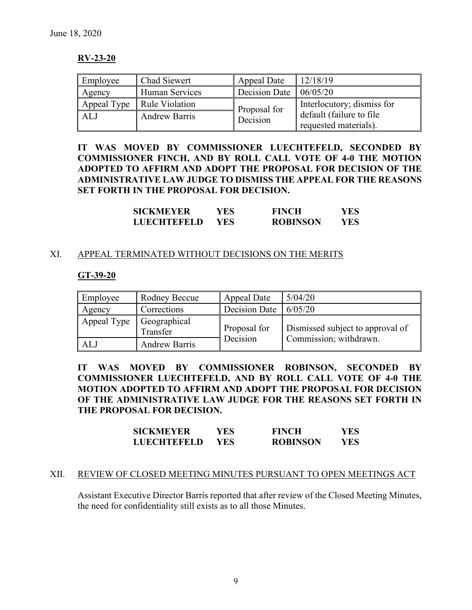## **RV-23-20**

| Employee | Chad Siewert                 | Appeal Date                          | 12/18/19                   |
|----------|------------------------------|--------------------------------------|----------------------------|
| Agency   | Human Services               | Decision Date $\vert 06/05/20 \vert$ |                            |
|          | Appeal Type   Rule Violation | Proposal for                         | Interlocutory; dismiss for |
| ALJ      | <b>Andrew Barris</b>         | Decision                             | default (failure to file   |
|          |                              |                                      | requested materials).      |

**IT WAS MOVED BY COMMISSIONER LUECHTEFELD, SECONDED BY COMMISSIONER FINCH, AND BY ROLL CALL VOTE OF 4-0 THE MOTION ADOPTED TO AFFIRM AND ADOPT THE PROPOSAL FOR DECISION OF THE ADMINISTRATIVE LAW JUDGE TO DISMISS THE APPEAL FOR THE REASONS SET FORTH IN THE PROPOSAL FOR DECISION.**

| <b>SICKMEYER</b>   | YES. | <b>FINCH</b>    | YES |
|--------------------|------|-----------------|-----|
| <b>LUECHTEFELD</b> | YES. | <b>ROBINSON</b> | YES |

## XI. APPEAL TERMINATED WITHOUT DECISIONS ON THE MERITS

#### **GT-39-20**

| Employee                 | Rodney Beccue        | Appeal Date                  | 5/04/20                          |
|--------------------------|----------------------|------------------------------|----------------------------------|
| Agency                   | Corrections          | Decision Date $\int 6/05/20$ |                                  |
| Appeal Type Geographical | Transfer             | Proposal for                 | Dismissed subject to approval of |
| ALJ                      | <b>Andrew Barris</b> | Decision                     | Commission; withdrawn.           |

**IT WAS MOVED BY COMMISSIONER ROBINSON, SECONDED BY COMMISSIONER LUECHTEFELD, AND BY ROLL CALL VOTE OF 4-0 THE MOTION ADOPTED TO AFFIRM AND ADOPT THE PROPOSAL FOR DECISION OF THE ADMINISTRATIVE LAW JUDGE FOR THE REASONS SET FORTH IN THE PROPOSAL FOR DECISION.**

| <b>SICKMEYER</b>   | YES  | <b>FINCH</b>    | YES |
|--------------------|------|-----------------|-----|
| <b>LUECHTEFELD</b> | YES. | <b>ROBINSON</b> | YES |

#### XII. REVIEW OF CLOSED MEETING MINUTES PURSUANT TO OPEN MEETINGS ACT

Assistant Executive Director Barris reported that after review of the Closed Meeting Minutes, the need for confidentiality still exists as to all those Minutes.